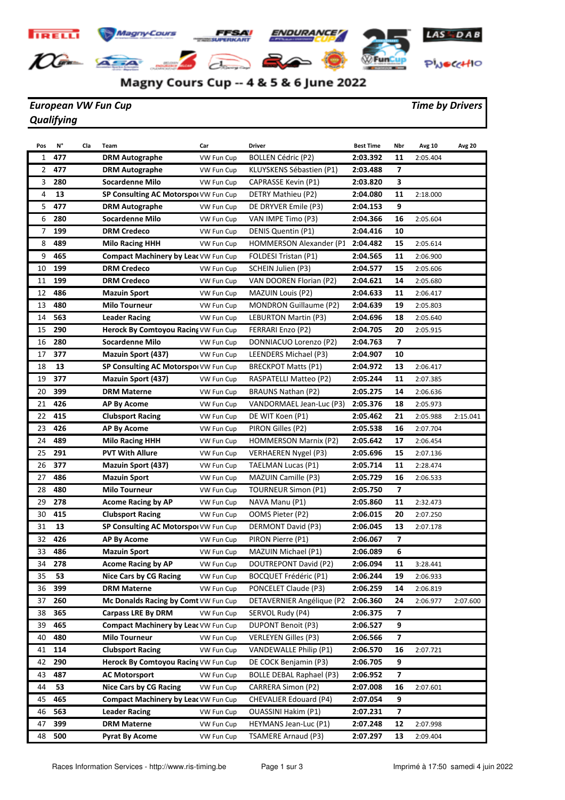

## Magny Cours Cup -- 4 & 5 & 6 June 2022

## *European VW Fun Cup Time by Drivers Qualifying*

| Pos      | N°         | Cla | Team                                        | Car        | <b>Driver</b>                                       | <b>Best Time</b>     | Nbr                     | Avg 10   | <b>Avg 20</b> |
|----------|------------|-----|---------------------------------------------|------------|-----------------------------------------------------|----------------------|-------------------------|----------|---------------|
| 1        | 477        |     | <b>DRM Autographe</b>                       | VW Fun Cup | <b>BOLLEN Cédric (P2)</b>                           | 2:03.392             | 11                      | 2:05.404 |               |
| 2        | 477        |     | <b>DRM Autographe</b>                       | VW Fun Cup | KLUYSKENS Sébastien (P1)                            | 2:03.488             | $\overline{ }$          |          |               |
| 3        | 280        |     | <b>Socardenne Milo</b>                      | VW Fun Cup | CAPRASSE Kevin (P1)                                 | 2:03.820             | 3                       |          |               |
| 4        | 13         |     | SP Consulting AC Motorspol VW Fun Cup       |            | DETRY Mathieu (P2)                                  | 2:04.080             | 11                      | 2:18.000 |               |
| 5        | 477        |     | <b>DRM Autographe</b>                       | VW Fun Cup | DE DRYVER Emile (P3)                                | 2:04.153             | 9                       |          |               |
| 6        | 280        |     | <b>Socardenne Milo</b>                      | VW Fun Cup | VAN IMPE Timo (P3)                                  | 2:04.366             | 16                      | 2:05.604 |               |
| 7        | 199        |     | <b>DRM Credeco</b>                          | VW Fun Cup | DENIS Quentin (P1)                                  | 2:04.416             | 10                      |          |               |
| 8        | 489        |     | <b>Milo Racing HHH</b>                      | VW Fun Cup | HOMMERSON Alexander (P1                             | 2:04.482             | 15                      | 2:05.614 |               |
| 9        | 465        |     | <b>Compact Machinery by Leat VW Fun Cup</b> |            | FOLDESI Tristan (P1)                                | 2:04.565             | 11                      | 2:06.900 |               |
| 10       | 199        |     | <b>DRM Credeco</b>                          | VW Fun Cup | SCHEIN Julien (P3)                                  | 2:04.577             | 15                      | 2:05.606 |               |
| 11       | 199        |     | <b>DRM Credeco</b>                          | VW Fun Cup | VAN DOOREN Florian (P2)                             | 2:04.621             | 14                      | 2:05.680 |               |
| 12       | 486        |     | <b>Mazuin Sport</b>                         | VW Fun Cup | <b>MAZUIN Louis (P2)</b>                            | 2:04.633             | 11                      | 2:06.417 |               |
| 13       | 480        |     | <b>Milo Tourneur</b>                        | VW Fun Cup | MONDRON Guillaume (P2)                              | 2:04.639             | 19                      | 2:05.803 |               |
| 14       | 563        |     | <b>Leader Racing</b>                        | VW Fun Cup | <b>LEBURTON Martin (P3)</b>                         | 2:04.696             | 18                      | 2:05.640 |               |
| 15       | 290        |     | Herock By Comtoyou Racing VW Fun Cup        |            | FERRARI Enzo (P2)                                   | 2:04.705             | 20                      | 2:05.915 |               |
| 16       | 280        |     | <b>Socardenne Milo</b>                      | VW Fun Cup | DONNIACUO Lorenzo (P2)                              | 2:04.763             | $\overline{ }$          |          |               |
| 17       | 377        |     | <b>Mazuin Sport (437)</b>                   | VW Fun Cup | LEENDERS Michael (P3)                               | 2:04.907             | 10                      |          |               |
| 18       | 13         |     | SP Consulting AC Motorspol VW Fun Cup       |            | <b>BRECKPOT Matts (P1)</b>                          | 2:04.972             | 13                      | 2:06.417 |               |
| 19       | 377        |     | Mazuin Sport (437)                          | VW Fun Cup | RASPATELLI Matteo (P2)                              | 2:05.244             | 11                      | 2:07.385 |               |
| 20       | 399        |     | <b>DRM Materne</b>                          | VW Fun Cup | <b>BRAUNS Nathan (P2)</b>                           | 2:05.275             | 14                      | 2:06.636 |               |
| 21       | 426        |     | <b>AP By Acome</b>                          | VW Fun Cup | VANDORMAEL Jean-Luc (P3)                            | 2:05.376             | 18                      | 2:05.973 |               |
| 22       | 415        |     | <b>Clubsport Racing</b>                     | VW Fun Cup | DE WIT Koen (P1)                                    | 2:05.462             | 21                      | 2:05.988 | 2:15.041      |
| 23       | 426        |     | <b>AP By Acome</b>                          | VW Fun Cup | PIRON Gilles (P2)                                   | 2:05.538             | 16                      | 2:07.704 |               |
| 24       | 489        |     | <b>Milo Racing HHH</b>                      | VW Fun Cup | <b>HOMMERSON Marnix (P2)</b>                        | 2:05.642             | 17                      | 2:06.454 |               |
| 25       | 291        |     | <b>PVT With Allure</b>                      | VW Fun Cup | <b>VERHAEREN Nygel (P3)</b>                         | 2:05.696             | 15                      | 2:07.136 |               |
| 26       | 377        |     | <b>Mazuin Sport (437)</b>                   | VW Fun Cup | TAELMAN Lucas (P1)                                  | 2:05.714             | 11                      | 2:28.474 |               |
| 27       | 486        |     | <b>Mazuin Sport</b>                         | VW Fun Cup | <b>MAZUIN Camille (P3)</b>                          | 2:05.729             | 16                      | 2:06.533 |               |
| 28       | 480        |     | <b>Milo Tourneur</b>                        | VW Fun Cup | <b>TOURNEUR Simon (P1)</b>                          | 2:05.750             | 7                       |          |               |
| 29       | 278        |     | <b>Acome Racing by AP</b>                   | VW Fun Cup | NAVA Manu (P1)                                      | 2:05.860             | 11                      | 2:32.473 |               |
| 30       | 415        |     | <b>Clubsport Racing</b>                     | VW Fun Cup | OOMS Pieter (P2)                                    | 2:06.015             | 20                      | 2:07.250 |               |
| 31       | 13         |     | SP Consulting AC Motorspol VW Fun Cup       |            | DERMONT David (P3)                                  | 2:06.045             | 13                      | 2:07.178 |               |
| 32       | 426        |     | AP By Acome                                 | VW Fun Cup | PIRON Pierre (P1)                                   | 2:06.067             | 7                       |          |               |
| 33       | 486        |     | <b>Mazuin Sport</b>                         | VW Fun Cup | MAZUIN Michael (P1)                                 | 2:06.089             | 6                       |          |               |
| 34       | 278        |     | <b>Acome Racing by AP</b>                   | VW Fun Cup | DOUTREPONT David (P2)                               | 2:06.094             | 11                      | 3:28.441 |               |
| 35       | 53         |     | <b>Nice Cars by CG Racing</b>               | VW Fun Cup | BOCQUET Frédéric (P1)                               | 2:06.244             | 19                      | 2:06.933 |               |
| 36       | 399        |     | <b>DRM Materne</b>                          | VW Fun Cup | PONCELET Claude (P3)                                | 2:06.259             | 14                      | 2:06.819 |               |
| 37       | 260        |     | Mc Donalds Racing by Comt VW Fun Cup        |            | DETAVERNIER Angélique (P2                           | 2:06.360             | 24                      | 2:06.977 | 2:07.600      |
| 38       | 365        |     | <b>Carpass LRE By DRM</b>                   | VW Fun Cup | SERVOL Rudy (P4)                                    | 2:06.375             | 7                       |          |               |
| 39       | 465        |     | Compact Machinery by Lear VW Fun Cup        |            | <b>DUPONT Benoit (P3)</b>                           | 2:06.527             | 9                       |          |               |
| 40       | 480        |     | <b>Milo Tourneur</b>                        | VW Fun Cup | <b>VERLEYEN Gilles (P3)</b>                         | 2:06.566             | $\overline{\mathbf{z}}$ |          |               |
| 41       | 114        |     | <b>Clubsport Racing</b>                     | VW Fun Cup | VANDEWALLE Philip (P1)                              | 2:06.570             | 16                      | 2:07.721 |               |
| 42       | 290        |     | Herock By Comtoyou Racing VW Fun Cup        |            | DE COCK Benjamin (P3)                               | 2:06.705             | 9                       |          |               |
| 43       | 487        |     | <b>AC Motorsport</b>                        | VW Fun Cup | BOLLE DEBAL Raphael (P3)                            | 2:06.952             | 7                       |          |               |
| 44       | 53         |     | <b>Nice Cars by CG Racing</b>               | VW Fun Cup | CARRERA Simon (P2)                                  | 2:07.008             | 16                      | 2:07.601 |               |
| 45       | 465<br>563 |     | <b>Compact Machinery by Leat VW Fun Cup</b> |            | CHEVALIER Edouard (P4)                              | 2:07.054<br>2:07.231 | 9<br>7                  |          |               |
| 46<br>47 | 399        |     | <b>Leader Racing</b>                        | VW Fun Cup | <b>OUASSINI Hakim (P1)</b>                          | 2:07.248             | 12                      |          |               |
|          | 500        |     | <b>DRM Materne</b>                          | VW Fun Cup | HEYMANS Jean-Luc (P1)<br><b>TSAMERE Arnaud (P3)</b> |                      |                         | 2:07.998 |               |
| 48       |            |     | <b>Pyrat By Acome</b>                       | VW Fun Cup |                                                     | 2:07.297             | 13                      | 2:09.404 |               |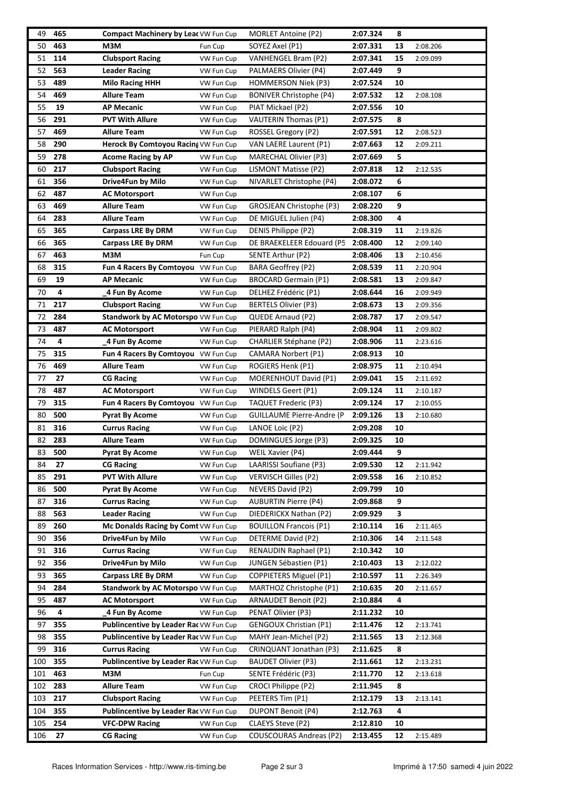| 49  | 465 | Compact Machinery by Lear VW Fun Cup          |                       | <b>MORLET Antoine (P2)</b>     | 2:07.324 | 8  |                      |
|-----|-----|-----------------------------------------------|-----------------------|--------------------------------|----------|----|----------------------|
| 50  | 463 | M3M                                           | Fun Cup               | SOYEZ Axel (P1)                | 2:07.331 | 13 | 2:08.206             |
| 51  | 114 | <b>Clubsport Racing</b>                       | VW Fun Cup            | VANHENGEL Bram (P2)            | 2:07.341 | 15 | 2:09.099             |
| 52  | 563 | <b>Leader Racing</b>                          | VW Fun Cup            | PALMAERS Olivier (P4)          | 2:07.449 | 9  |                      |
| 53  | 489 | <b>Milo Racing HHH</b>                        | VW Fun Cup            | <b>HOMMERSON Niek (P3)</b>     | 2:07.524 | 10 |                      |
| 54  | 469 | <b>Allure Team</b>                            | VW Fun Cup            | <b>BONIVER Christophe (P4)</b> | 2:07.532 | 12 | 2:08.108             |
| 55  | 19  | <b>AP Mecanic</b>                             | VW Fun Cup            | PIAT Mickael (P2)              | 2:07.556 | 10 |                      |
| 56  | 291 | <b>PVT With Allure</b>                        | VW Fun Cup            | <b>VAUTERIN Thomas (P1)</b>    | 2:07.575 | 8  |                      |
| 57  | 469 | <b>Allure Team</b>                            | VW Fun Cup            | ROSSEL Gregory (P2)            | 2:07.591 | 12 | 2:08.523             |
| 58  | 290 | Herock By Comtoyou Racing VW Fun Cup          |                       | VAN LAERE Laurent (P1)         | 2:07.663 | 12 | 2:09.211             |
| 59  | 278 | <b>Acome Racing by AP</b>                     | VW Fun Cup            | MARECHAL Olivier (P3)          | 2:07.669 | 5  |                      |
| 60  | 217 | <b>Clubsport Racing</b>                       | VW Fun Cup            | LISMONT Matisse (P2)           | 2:07.818 | 12 | 2:12.535             |
| 61  | 356 | Drive4Fun by Milo                             | VW Fun Cup            | NIVARLET Christophe (P4)       | 2:08.072 | 6  |                      |
| 62  | 487 | <b>AC Motorsport</b>                          | VW Fun Cup            |                                | 2:08.107 | 6  |                      |
| 63  | 469 | <b>Allure Team</b>                            | VW Fun Cup            | GROSJEAN Christophe (P3)       | 2:08.220 | 9  |                      |
| 64  | 283 | <b>Allure Team</b>                            | VW Fun Cup            | DE MIGUEL Julien (P4)          | 2:08.300 | 4  |                      |
| 65  | 365 | <b>Carpass LRE By DRM</b>                     | VW Fun Cup            | DENIS Philippe (P2)            | 2:08.319 | 11 | 2:19.826             |
| 66  | 365 | <b>Carpass LRE By DRM</b>                     |                       | DE BRAEKELEER Edouard (P5      | 2:08.400 | 12 |                      |
| 67  | 463 | M3M                                           | VW Fun Cup<br>Fun Cup | SENTE Arthur (P2)              | 2:08.406 | 13 | 2:09.140<br>2:10.456 |
|     |     |                                               |                       |                                |          |    |                      |
| 68  | 315 | Fun 4 Racers By Comtoyou VW Fun Cup           |                       | <b>BARA Geoffrey (P2)</b>      | 2:08.539 | 11 | 2:20.904             |
| 69  | 19  | <b>AP Mecanic</b>                             | VW Fun Cup            | BROCARD Germain (P1)           | 2:08.581 | 13 | 2:09.847             |
| 70  | 4   | 4 Fun By Acome                                | VW Fun Cup            | DELHEZ Frédéric (P1)           | 2:08.644 | 16 | 2:09.949             |
| 71  | 217 | <b>Clubsport Racing</b>                       | VW Fun Cup            | <b>BERTELS Olivier (P3)</b>    | 2:08.673 | 13 | 2:09.356             |
| 72  | 284 | Standwork by AC Motorspo VW Fun Cup           |                       | QUEDE Arnaud (P2)              | 2:08.787 | 17 | 2:09.547             |
| 73  | 487 | <b>AC Motorsport</b>                          | VW Fun Cup            | PIERARD Ralph (P4)             | 2:08.904 | 11 | 2:09.802             |
| 74  | 4   | 4 Fun By Acome                                | VW Fun Cup            | <b>CHARLIER Stéphane (P2)</b>  | 2:08.906 | 11 | 2:23.616             |
| 75  | 315 | Fun 4 Racers By Comtoyou VW Fun Cup           |                       | CAMARA Norbert (P1)            | 2:08.913 | 10 |                      |
| 76  | 469 | <b>Allure Team</b>                            | VW Fun Cup            | ROGIERS Henk (P1)              | 2:08.975 | 11 | 2:10.494             |
| 77  | 27  | <b>CG Racing</b>                              | VW Fun Cup            | MOERENHOUT David (P1)          | 2:09.041 | 15 | 2:11.692             |
| 78  | 487 | <b>AC Motorsport</b>                          | VW Fun Cup            | WINDELS Geert (P1)             | 2:09.124 | 11 | 2:10.187             |
| 79  | 315 | Fun 4 Racers By Comtoyou VW Fun Cup           |                       | <b>TAQUET Frederic (P3)</b>    | 2:09.124 | 17 | 2:10.055             |
| 80  | 500 | <b>Pyrat By Acome</b>                         | VW Fun Cup            | GUILLAUME Pierre-Andre (P      | 2:09.126 | 13 | 2:10.680             |
| 81  | 316 | <b>Currus Racing</b>                          | VW Fun Cup            | LANOE Loic (P2)                | 2:09.208 | 10 |                      |
| 82  | 283 | <b>Allure Team</b>                            | VW Fun Cup            | DOMINGUES Jorge (P3)           | 2:09.325 | 10 |                      |
| 83  | 500 | <b>Pyrat By Acome</b>                         | VW Fun Cup            | WEIL Xavier (P4)               | 2:09.444 | 9  |                      |
| 84  | 27  | <b>CG Racing</b>                              | VW Fun Cup            | LAARISSI Soufiane (P3)         | 2:09.530 | 12 | 2:11.942             |
| 85  | 291 | <b>PVT With Allure</b>                        | VW Fun Cup            | <b>VERVISCH Gilles (P2)</b>    | 2:09.558 | 16 | 2:10.852             |
| 86  | 500 | <b>Pyrat By Acome</b>                         | VW Fun Cup            | NEVERS David (P2)              | 2:09.799 | 10 |                      |
| 87  | 316 | <b>Currus Racing</b>                          | VW Fun Cup            | <b>AUBURTIN Pierre (P4)</b>    | 2:09.868 | 9  |                      |
| 88  | 563 | <b>Leader Racing</b>                          | VW Fun Cup            | DIEDERICKX Nathan (P2)         | 2:09.929 | 3  |                      |
| 89  | 260 | Mc Donalds Racing by Comt VW Fun Cup          |                       | <b>BOUILLON Francois (P1)</b>  | 2:10.114 | 16 | 2:11.465             |
| 90  | 356 | Drive4Fun by Milo                             | VW Fun Cup            | DETERME David (P2)             | 2:10.306 | 14 | 2:11.548             |
| 91  | 316 | <b>Currus Racing</b>                          | VW Fun Cup            | RENAUDIN Raphael (P1)          | 2:10.342 | 10 |                      |
| 92  | 356 | Drive4Fun by Milo                             | VW Fun Cup            | JUNGEN Sébastien (P1)          | 2:10.403 | 13 | 2:12.022             |
| 93  | 365 | <b>Carpass LRE By DRM</b>                     | VW Fun Cup            | <b>COPPIETERS Miguel (P1)</b>  | 2:10.597 | 11 | 2:26.349             |
| 94  | 284 | <b>Standwork by AC Motorspo VW Fun Cup</b>    |                       | MARTHOZ Christophe (P1)        | 2:10.635 | 20 | 2:11.657             |
| 95  | 487 | <b>AC Motorsport</b>                          | VW Fun Cup            | ARNAUDET Benoit (P2)           | 2:10.884 | 4  |                      |
| 96  | 4   | 4 Fun By Acome                                | VW Fun Cup            | PENAT Olivier (P3)             | 2:11.232 | 10 |                      |
| 97  | 355 | <b>Publincentive by Leader Rac VW Fun Cup</b> |                       | <b>GENGOUX Christian (P1)</b>  | 2:11.476 | 12 | 2:13.741             |
| 98  | 355 | <b>Publincentive by Leader Rac VW Fun Cup</b> |                       | MAHY Jean-Michel (P2)          | 2:11.565 | 13 | 2:12.368             |
| 99  | 316 | <b>Currus Racing</b>                          | VW Fun Cup            | CRINQUANT Jonathan (P3)        | 2:11.625 | 8  |                      |
| 100 | 355 | <b>Publincentive by Leader Rac VW Fun Cup</b> |                       | BAUDET Olivier (P3)            | 2:11.661 | 12 | 2:13.231             |
| 101 | 463 | M3M                                           |                       | SENTE Frédéric (P3)            |          |    |                      |
|     | 283 |                                               | Fun Cup               |                                | 2:11.770 | 12 | 2:13.618             |
| 102 |     | <b>Allure Team</b>                            | VW Fun Cup            | CROCI Philippe (P2)            | 2:11.945 | 8  |                      |
| 103 | 217 | <b>Clubsport Racing</b>                       | VW Fun Cup            | PEETERS Tim (P1)               | 2:12.179 | 13 | 2:13.141             |
| 104 | 355 | Publincentive by Leader Rac VW Fun Cup        |                       | <b>DUPONT Benoit (P4)</b>      | 2:12.763 | 4  |                      |
| 105 | 254 | <b>VFC-DPW Racing</b>                         | VW Fun Cup            | CLAEYS Steve (P2)              | 2:12.810 | 10 |                      |
| 106 | 27  | <b>CG Racing</b>                              | VW Fun Cup            | COUSCOURAS Andreas (P2)        | 2:13.455 | 12 | 2:15.489             |